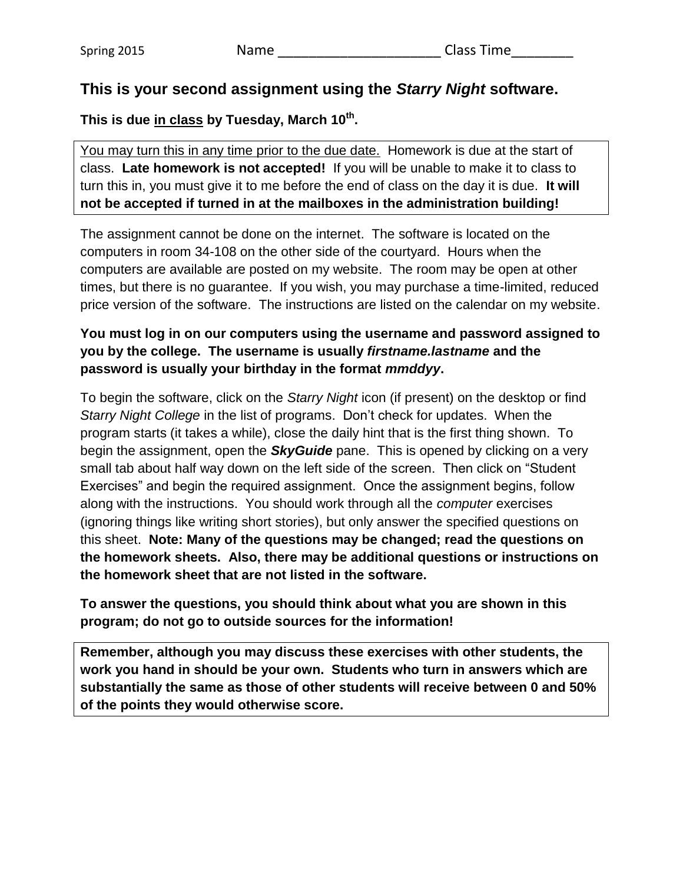## **This is your second assignment using the** *Starry Night* **software.**

### **This is due in class by Tuesday, March 10 th .**

You may turn this in any time prior to the due date. Homework is due at the start of class. **Late homework is not accepted!** If you will be unable to make it to class to turn this in, you must give it to me before the end of class on the day it is due. **It will not be accepted if turned in at the mailboxes in the administration building!**

The assignment cannot be done on the internet. The software is located on the computers in room 34-108 on the other side of the courtyard. Hours when the computers are available are posted on my website. The room may be open at other times, but there is no guarantee. If you wish, you may purchase a time-limited, reduced price version of the software. The instructions are listed on the calendar on my website.

#### **You must log in on our computers using the username and password assigned to you by the college. The username is usually** *firstname.lastname* **and the password is usually your birthday in the format** *mmddyy***.**

To begin the software, click on the *Starry Night* icon (if present) on the desktop or find *Starry Night College* in the list of programs. Don't check for updates. When the program starts (it takes a while), close the daily hint that is the first thing shown. To begin the assignment, open the *SkyGuide* pane. This is opened by clicking on a very small tab about half way down on the left side of the screen. Then click on "Student Exercises" and begin the required assignment. Once the assignment begins, follow along with the instructions. You should work through all the *computer* exercises (ignoring things like writing short stories), but only answer the specified questions on this sheet. **Note: Many of the questions may be changed; read the questions on the homework sheets. Also, there may be additional questions or instructions on the homework sheet that are not listed in the software.**

**To answer the questions, you should think about what you are shown in this program; do not go to outside sources for the information!**

**Remember, although you may discuss these exercises with other students, the work you hand in should be your own. Students who turn in answers which are substantially the same as those of other students will receive between 0 and 50% of the points they would otherwise score.**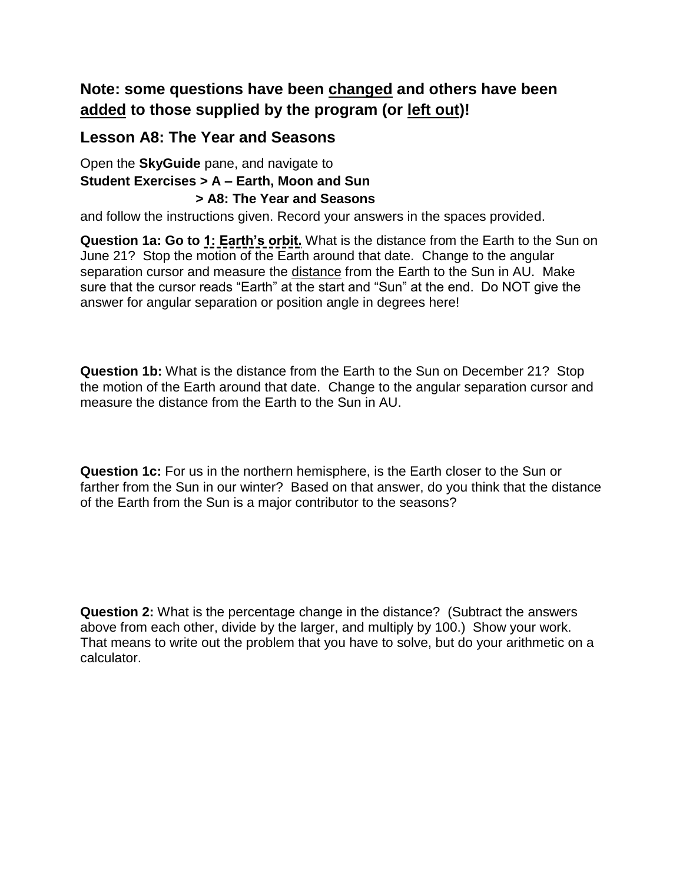# **Note: some questions have been changed and others have been added to those supplied by the program (or left out)!**

## **Lesson A8: The Year and Seasons**

Open the **SkyGuide** pane, and navigate to **Student Exercises > A – Earth, Moon and Sun > A8: The Year and Seasons**

and follow the instructions given. Record your answers in the spaces provided.

**Question 1a: Go to 1: Earth's orbit.** What is the distance from the Earth to the Sun on June 21? Stop the motion of the Earth around that date. Change to the angular separation cursor and measure the distance from the Earth to the Sun in AU. Make sure that the cursor reads "Earth" at the start and "Sun" at the end. Do NOT give the answer for angular separation or position angle in degrees here!

**Question 1b:** What is the distance from the Earth to the Sun on December 21? Stop the motion of the Earth around that date. Change to the angular separation cursor and measure the distance from the Earth to the Sun in AU.

**Question 1c:** For us in the northern hemisphere, is the Earth closer to the Sun or farther from the Sun in our winter? Based on that answer, do you think that the distance of the Earth from the Sun is a major contributor to the seasons?

**Question 2:** What is the percentage change in the distance? (Subtract the answers above from each other, divide by the larger, and multiply by 100.) Show your work. That means to write out the problem that you have to solve, but do your arithmetic on a calculator.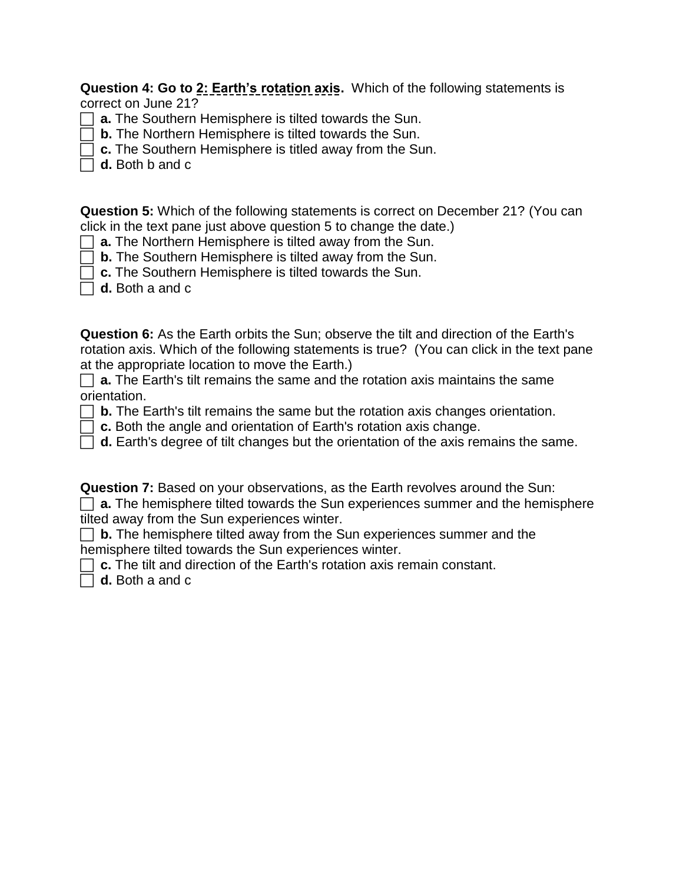**Question 4: Go to 2: Earth's rotation axis.** Which of the following statements is correct on June 21?

- **a.** The Southern Hemisphere is tilted towards the Sun.
- **b.** The Northern Hemisphere is tilted towards the Sun.
- **c.** The Southern Hemisphere is titled away from the Sun.
- **d.** Both b and c

**Question 5:** Which of the following statements is correct on December 21? (You can click in the text pane just above question 5 to change the date.)

- **a.** The Northern Hemisphere is tilted away from the Sun.
- **b.** The Southern Hemisphere is tilted away from the Sun.
- **c.** The Southern Hemisphere is tilted towards the Sun.
- **d.** Both a and c

**Question 6:** As the Earth orbits the Sun; observe the tilt and direction of the Earth's rotation axis. Which of the following statements is true? (You can click in the text pane at the appropriate location to move the Earth.)

**a.** The Earth's tilt remains the same and the rotation axis maintains the same orientation.

- **b.** The Earth's tilt remains the same but the rotation axis changes orientation.
- **c.** Both the angle and orientation of Earth's rotation axis change.
- **d.** Earth's degree of tilt changes but the orientation of the axis remains the same.

**Question 7:** Based on your observations, as the Earth revolves around the Sun:

|  |                                              |  |  |  |  |  |  | $\Box$ a. The hemisphere tilted towards the Sun experiences summer and the hemisphere |  |  |  |  |
|--|----------------------------------------------|--|--|--|--|--|--|---------------------------------------------------------------------------------------|--|--|--|--|
|  | tilted away from the Sun experiences winter. |  |  |  |  |  |  |                                                                                       |  |  |  |  |

**b.** The hemisphere tilted away from the Sun experiences summer and the hemisphere tilted towards the Sun experiences winter.

**C.** The tilt and direction of the Earth's rotation axis remain constant.

**d.** Both a and c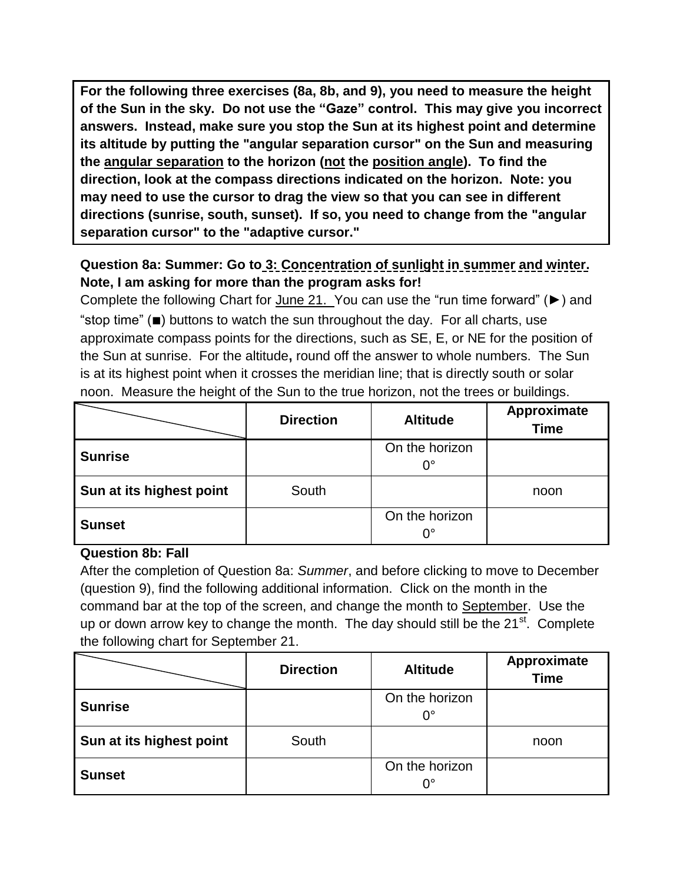**For the following three exercises (8a, 8b, and 9), you need to measure the height of the Sun in the sky. Do not use the "Gaze" control. This may give you incorrect answers. Instead, make sure you stop the Sun at its highest point and determine its altitude by putting the "angular separation cursor" on the Sun and measuring the angular separation to the horizon (not the position angle). To find the direction, look at the compass directions indicated on the horizon. Note: you may need to use the cursor to drag the view so that you can see in different directions (sunrise, south, sunset). If so, you need to change from the "angular separation cursor" to the "adaptive cursor."**

## **Question 8a: Summer: Go to 3: Concentration of sunlight in summer and winter. Note, I am asking for more than the program asks for!**

Complete the following Chart for June 21. You can use the "run time forward" (►) and "stop time" (■) buttons to watch the sun throughout the day. For all charts, use approximate compass points for the directions, such as SE, E, or NE for the position of the Sun at sunrise. For the altitude**,** round off the answer to whole numbers. The Sun is at its highest point when it crosses the meridian line; that is directly south or solar noon. Measure the height of the Sun to the true horizon, not the trees or buildings.

|                          | <b>Direction</b> | <b>Altitude</b> | Approximate<br><b>Time</b> |
|--------------------------|------------------|-----------------|----------------------------|
| <b>Sunrise</b>           |                  | On the horizon  |                            |
|                          |                  | $0^{\circ}$     |                            |
| Sun at its highest point | South            |                 | noon                       |
| <b>Sunset</b>            |                  | On the horizon  |                            |
|                          |                  | 0°              |                            |

#### **Question 8b: Fall**

After the completion of Question 8a: *Summer*, and before clicking to move to December (question 9), find the following additional information. Click on the month in the command bar at the top of the screen, and change the month to September. Use the up or down arrow key to change the month. The day should still be the  $21^{st}$ . Complete the following chart for September 21.

|                          | <b>Direction</b> | <b>Altitude</b>      | Approximate<br><b>Time</b> |
|--------------------------|------------------|----------------------|----------------------------|
| <b>Sunrise</b>           |                  | On the horizon       |                            |
|                          |                  | ∩°                   |                            |
| Sun at its highest point | South            |                      | noon                       |
| <b>Sunset</b>            |                  | On the horizon<br>0° |                            |